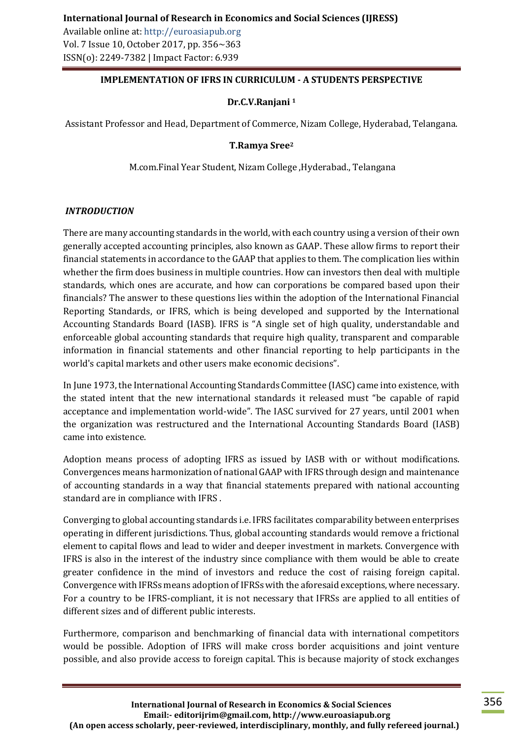### **IMPLEMENTATION OF IFRS IN CURRICULUM - A STUDENTS PERSPECTIVE**

### **Dr.C.V.Ranjani <sup>1</sup>**

Assistant Professor and Head, Department of Commerce, Nizam College, Hyderabad, Telangana.

### **T.Ramya Sree<sup>2</sup>**

M.com.Final Year Student, Nizam College ,Hyderabad., Telangana

### *INTRODUCTION*

There are many accounting standards in the world, with each country using a version of their own generally accepted accounting principles, also known as GAAP. These allow firms to report their financial statements in accordance to the GAAP that applies to them. The complication lies within whether the firm does business in multiple countries. How can investors then deal with multiple standards, which ones are accurate, and how can corporations be compared based upon their financials? The answer to these questions lies within the adoption of the International Financial Reporting Standards, or IFRS, which is being developed and supported by the International Accounting Standards Board (IASB). IFRS is "A single set of high quality, understandable and enforceable global accounting standards that require high quality, transparent and comparable information in financial statements and other financial reporting to help participants in the world's capital markets and other users make economic decisions".

In June 1973, the International Accounting Standards Committee (IASC) came into existence, with the stated intent that the new international standards it released must "be capable of rapid acceptance and implementation world-wide". The IASC survived for 27 years, until 2001 when the organization was restructured and the International Accounting Standards Board (IASB) came into existence.

Adoption means process of adopting IFRS as issued by IASB with or without modifications. Convergences means harmonization of national GAAP with IFRS through design and maintenance of accounting standards in a way that financial statements prepared with national accounting standard are in compliance with IFRS .

Converging to global accounting standards i.e. IFRS facilitates comparability between enterprises operating in different jurisdictions. Thus, global accounting standards would remove a frictional element to capital flows and lead to wider and deeper investment in markets. Convergence with IFRS is also in the interest of the industry since compliance with them would be able to create greater confidence in the mind of investors and reduce the cost of raising foreign capital. Convergence with IFRSs means adoption of IFRSs with the aforesaid exceptions, where necessary. For a country to be IFRS-compliant, it is not necessary that IFRSs are applied to all entities of different sizes and of different public interests.

Furthermore, comparison and benchmarking of financial data with international competitors would be possible. Adoption of IFRS will make cross border acquisitions and joint venture possible, and also provide access to foreign capital. This is because majority of stock exchanges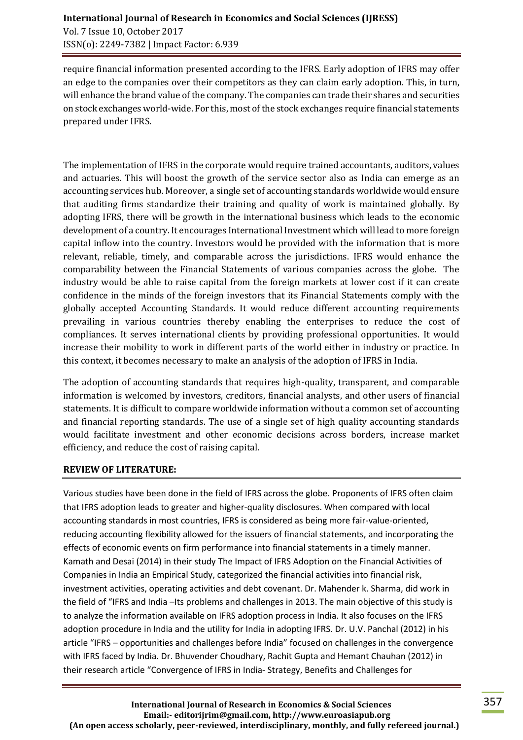require financial information presented according to the IFRS. Early adoption of IFRS may offer an edge to the companies over their competitors as they can claim early adoption. This, in turn, will enhance the brand value of the company. The companies can trade their shares and securities on stock exchanges world-wide. For this, most of the stock exchanges require financial statements prepared under IFRS.

The implementation of IFRS in the corporate would require trained accountants, auditors, values and actuaries. This will boost the growth of the service sector also as India can emerge as an accounting services hub. Moreover, a single set of accounting standards worldwide would ensure that auditing firms standardize their training and quality of work is maintained globally. By adopting IFRS, there will be growth in the international business which leads to the economic development of a country. It encourages International Investment which will lead to more foreign capital inflow into the country. Investors would be provided with the information that is more relevant, reliable, timely, and comparable across the jurisdictions. IFRS would enhance the comparability between the Financial Statements of various companies across the globe. The industry would be able to raise capital from the foreign markets at lower cost if it can create confidence in the minds of the foreign investors that its Financial Statements comply with the globally accepted Accounting Standards. It would reduce different accounting requirements prevailing in various countries thereby enabling the enterprises to reduce the cost of compliances. It serves international clients by providing professional opportunities. It would increase their mobility to work in different parts of the world either in industry or practice. In this context, it becomes necessary to make an analysis of the adoption of IFRS in India.

The adoption of accounting standards that requires high-quality, transparent, and comparable information is welcomed by investors, creditors, financial analysts, and other users of financial statements. It is difficult to compare worldwide information without a common set of accounting and financial reporting standards. The use of a single set of high quality accounting standards would facilitate investment and other economic decisions across borders, increase market efficiency, and reduce the cost of raising capital.

### **REVIEW OF LITERATURE:**

Various studies have been done in the field of IFRS across the globe. Proponents of IFRS often claim that IFRS adoption leads to greater and higher-quality disclosures. When compared with local accounting standards in most countries, IFRS is considered as being more fair-value-oriented, reducing accounting flexibility allowed for the issuers of financial statements, and incorporating the effects of economic events on firm performance into financial statements in a timely manner. Kamath and Desai (2014) in their study The Impact of IFRS Adoption on the Financial Activities of Companies in India an Empirical Study, categorized the financial activities into financial risk, investment activities, operating activities and debt covenant. Dr. Mahender k. Sharma, did work in the field of "IFRS and India –Its problems and challenges in 2013. The main objective of this study is to analyze the information available on IFRS adoption process in India. It also focuses on the IFRS adoption procedure in India and the utility for India in adopting IFRS. Dr. U.V. Panchal (2012) in his article "IFRS – opportunities and challenges before India" focused on challenges in the convergence with IFRS faced by India. Dr. Bhuvender Choudhary, Rachit Gupta and Hemant Chauhan (2012) in their research article "Convergence of IFRS in India- Strategy, Benefits and Challenges for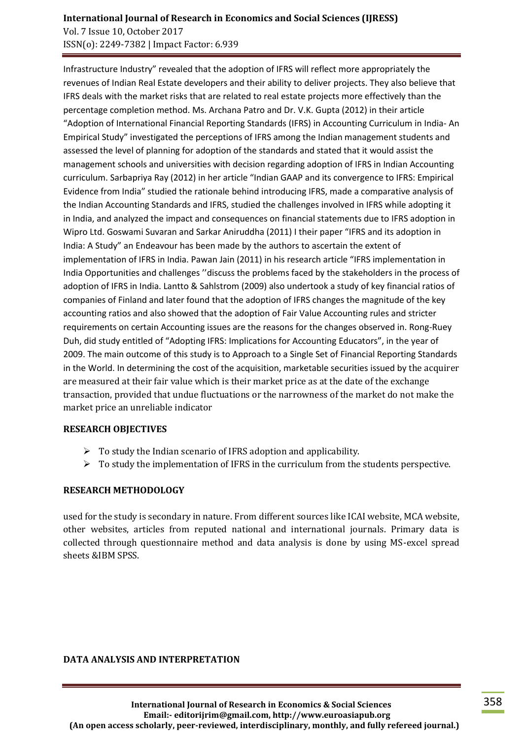### **International Journal of Research in Economics and Social Sciences (IJRESS)** Vol. 7 Issue 10, October 2017 ISSN(o): 2249-7382 | Impact Factor: 6.939

Infrastructure Industry" revealed that the adoption of IFRS will reflect more appropriately the revenues of Indian Real Estate developers and their ability to deliver projects. They also believe that IFRS deals with the market risks that are related to real estate projects more effectively than the percentage completion method. Ms. Archana Patro and Dr. V.K. Gupta (2012) in their article "Adoption of International Financial Reporting Standards (IFRS) in Accounting Curriculum in India- An Empirical Study" investigated the perceptions of IFRS among the Indian management students and assessed the level of planning for adoption of the standards and stated that it would assist the management schools and universities with decision regarding adoption of IFRS in Indian Accounting curriculum. Sarbapriya Ray (2012) in her article "Indian GAAP and its convergence to IFRS: Empirical Evidence from India" studied the rationale behind introducing IFRS, made a comparative analysis of the Indian Accounting Standards and IFRS, studied the challenges involved in IFRS while adopting it in India, and analyzed the impact and consequences on financial statements due to IFRS adoption in Wipro Ltd. Goswami Suvaran and Sarkar Aniruddha (2011) I their paper "IFRS and its adoption in India: A Study" an Endeavour has been made by the authors to ascertain the extent of implementation of IFRS in India. Pawan Jain (2011) in his research article "IFRS implementation in India Opportunities and challenges ''discuss the problems faced by the stakeholders in the process of adoption of IFRS in India. Lantto & Sahlstrom (2009) also undertook a study of key financial ratios of companies of Finland and later found that the adoption of IFRS changes the magnitude of the key accounting ratios and also showed that the adoption of Fair Value Accounting rules and stricter requirements on certain Accounting issues are the reasons for the changes observed in. Rong-Ruey Duh, did study entitled of "Adopting IFRS: Implications for Accounting Educators", in the year of 2009. The main outcome of this study is to Approach to a Single Set of Financial Reporting Standards in the World. In determining the cost of the acquisition, marketable securities issued by the acquirer are measured at their fair value which is their market price as at the date of the exchange transaction, provided that undue fluctuations or the narrowness of the market do not make the market price an unreliable indicator

### **RESEARCH OBJECTIVES**

- $\triangleright$  To study the Indian scenario of IFRS adoption and applicability.
- $\triangleright$  To study the implementation of IFRS in the curriculum from the students perspective.

# **RESEARCH METHODOLOGY**

used for the study is secondary in nature. From different sources like ICAI website, MCA website, other websites, articles from reputed national and international journals. Primary data is collected through questionnaire method and data analysis is done by using MS-excel spread sheets &IBM SPSS.

### **DATA ANALYSIS AND INTERPRETATION**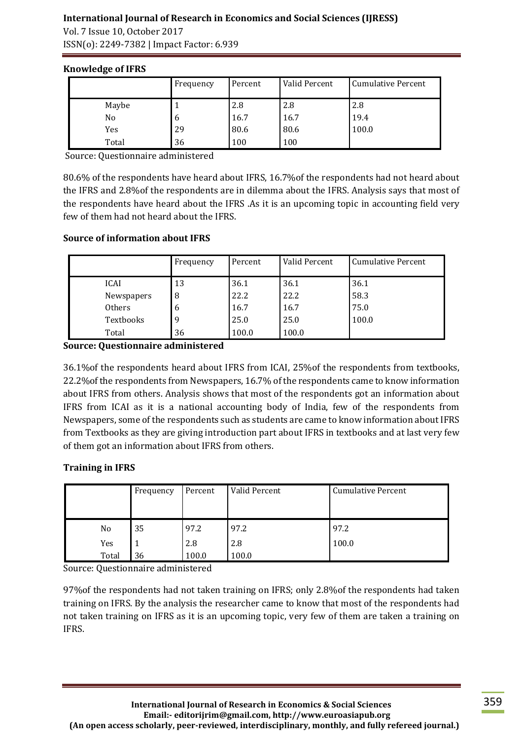# **International Journal of Research in Economics and Social Sciences (IJRESS)**

Vol. 7 Issue 10, October 2017 ISSN(o): 2249-7382 | Impact Factor: 6.939

# **Knowledge of IFRS**

|       | Frequency | Percent | Valid Percent | <b>Cumulative Percent</b> |
|-------|-----------|---------|---------------|---------------------------|
| Maybe |           | 2.8     | 2.8           | 2.8                       |
| No    | -6        | 16.7    | 16.7          | 19.4                      |
| Yes   | 29        | 80.6    | 80.6          | 100.0                     |
| Total | 36        | 100     | 100           |                           |

Source: Questionnaire administered

80.6% of the respondents have heard about IFRS, 16.7%of the respondents had not heard about the IFRS and 2.8%of the respondents are in dilemma about the IFRS. Analysis says that most of the respondents have heard about the IFRS .As it is an upcoming topic in accounting field very few of them had not heard about the IFRS.

# **Source of information about IFRS**

|             | Frequency | Percent | Valid Percent | <b>Cumulative Percent</b> |
|-------------|-----------|---------|---------------|---------------------------|
| <b>ICAI</b> | 13        | 36.1    | 36.1          | 36.1                      |
| Newspapers  | 8         | 22.2    | 22.2          | 58.3                      |
| Others      | 6         | 16.7    | 16.7          | 75.0                      |
| Textbooks   | 9         | 25.0    | 25.0          | 100.0                     |
| Total       | 36        | 100.0   | 100.0         |                           |

**Source: Questionnaire administered**

36.1%of the respondents heard about IFRS from ICAI, 25%of the respondents from textbooks, 22.2%of the respondents from Newspapers, 16.7% of the respondents came to know information about IFRS from others. Analysis shows that most of the respondents got an information about IFRS from ICAI as it is a national accounting body of India, few of the respondents from Newspapers, some of the respondents such as students are came to know information about IFRS from Textbooks as they are giving introduction part about IFRS in textbooks and at last very few of them got an information about IFRS from others.

# **Training in IFRS**

| Frequency |    | Percent | Valid Percent | <b>Cumulative Percent</b> |  |
|-----------|----|---------|---------------|---------------------------|--|
|           |    |         |               |                           |  |
| No        | 35 | 97.2    | 97.2          | 97.2                      |  |
| Yes       |    | 2.8     | 2.8           | 100.0                     |  |
| Total     | 36 | 100.0   | 100.0         |                           |  |

Source: Questionnaire administered

97%of the respondents had not taken training on IFRS; only 2.8%of the respondents had taken training on IFRS. By the analysis the researcher came to know that most of the respondents had not taken training on IFRS as it is an upcoming topic, very few of them are taken a training on IFRS.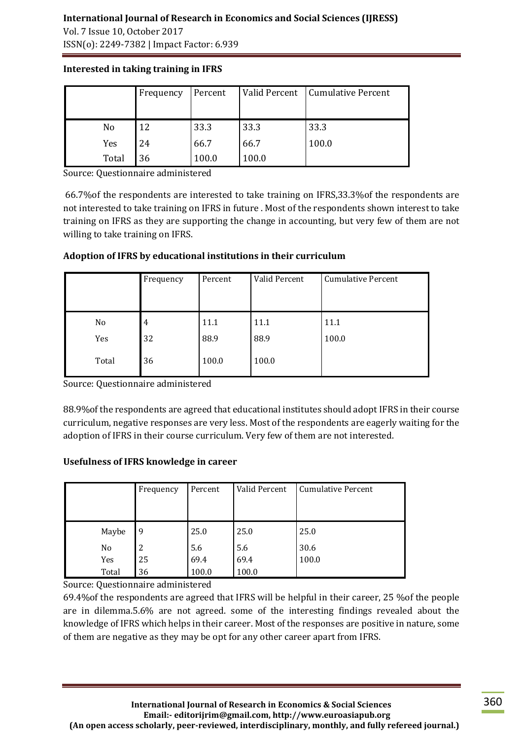# **International Journal of Research in Economics and Social Sciences (IJRESS)**

Vol. 7 Issue 10, October 2017 ISSN(o): 2249-7382 | Impact Factor: 6.939

|       | Frequency | Percent | Valid Percent | <b>Cumulative Percent</b> |
|-------|-----------|---------|---------------|---------------------------|
| No    | 12        | 33.3    | 33.3          | 33.3                      |
| Yes   | 24        | 66.7    | 66.7          | 100.0                     |
| Total | 36        | 100.0   | 100.0         |                           |

### **Interested in taking training in IFRS**

Source: Questionnaire administered

66.7%of the respondents are interested to take training on IFRS,33.3%of the respondents are not interested to take training on IFRS in future . Most of the respondents shown interest to take training on IFRS as they are supporting the change in accounting, but very few of them are not willing to take training on IFRS.

| Adoption of IFRS by educational institutions in their curriculum |  |
|------------------------------------------------------------------|--|
|                                                                  |  |

|           | Frequency | Percent      | Valid Percent | <b>Cumulative Percent</b> |
|-----------|-----------|--------------|---------------|---------------------------|
| No<br>Yes | 4<br>32   | 11.1<br>88.9 | 11.1<br>88.9  | 11.1<br>100.0             |
| Total     | 36        | 100.0        | 100.0         |                           |

Source: Questionnaire administered

88.9%of the respondents are agreed that educational institutes should adopt IFRS in their course curriculum, negative responses are very less. Most of the respondents are eagerly waiting for the adoption of IFRS in their course curriculum. Very few of them are not interested.

# **Usefulness of IFRS knowledge in career**

|       | Frequency | Percent | Valid Percent | <b>Cumulative Percent</b> |
|-------|-----------|---------|---------------|---------------------------|
| Maybe | 9         | 25.0    | 25.0          | 25.0                      |
| No    | 2         | 5.6     | 5.6           | 30.6                      |
| Yes   | 25        | 69.4    | 69.4          | 100.0                     |
| Total | 36        | 100.0   | 100.0         |                           |

Source: Questionnaire administered

69.4%of the respondents are agreed that IFRS will be helpful in their career, 25 %of the people are in dilemma.5.6% are not agreed. some of the interesting findings revealed about the knowledge of IFRS which helps in their career. Most of the responses are positive in nature, some of them are negative as they may be opt for any other career apart from IFRS.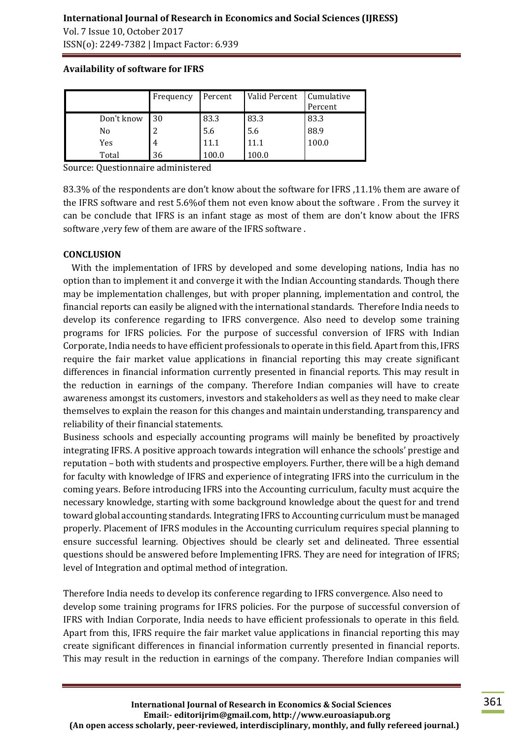Vol. 7 Issue 10, October 2017 ISSN(o): 2249-7382 | Impact Factor: 6.939

|            | Frequency | Percent | Valid Percent | Cumulative<br>Percent |
|------------|-----------|---------|---------------|-----------------------|
| Don't know | 30        | 83.3    | 83.3          | 83.3                  |
| No         |           | 5.6     | 5.6           | 88.9                  |
| Yes        | 4         | 11.1    | 11.1          | 100.0                 |
| Total      | 36        | 100.0   | 100.0         |                       |

#### **Availability of software for IFRS**

Source: Questionnaire administered

83.3% of the respondents are don't know about the software for IFRS ,11.1% them are aware of the IFRS software and rest 5.6%of them not even know about the software . From the survey it can be conclude that IFRS is an infant stage as most of them are don't know about the IFRS software ,very few of them are aware of the IFRS software .

### **CONCLUSION**

 With the implementation of IFRS by developed and some developing nations, India has no option than to implement it and converge it with the Indian Accounting standards. Though there may be implementation challenges, but with proper planning, implementation and control, the financial reports can easily be aligned with the international standards. Therefore India needs to develop its conference regarding to IFRS convergence. Also need to develop some training programs for IFRS policies. For the purpose of successful conversion of IFRS with Indian Corporate, India needs to have efficient professionals to operate in this field. Apart from this, IFRS require the fair market value applications in financial reporting this may create significant differences in financial information currently presented in financial reports. This may result in the reduction in earnings of the company. Therefore Indian companies will have to create awareness amongst its customers, investors and stakeholders as well as they need to make clear themselves to explain the reason for this changes and maintain understanding, transparency and reliability of their financial statements.

Business schools and especially accounting programs will mainly be benefited by proactively integrating IFRS. A positive approach towards integration will enhance the schools' prestige and reputation – both with students and prospective employers. Further, there will be a high demand for faculty with knowledge of IFRS and experience of integrating IFRS into the curriculum in the coming years. Before introducing IFRS into the Accounting curriculum, faculty must acquire the necessary knowledge, starting with some background knowledge about the quest for and trend toward global accounting standards. Integrating IFRS to Accounting curriculum must be managed properly. Placement of IFRS modules in the Accounting curriculum requires special planning to ensure successful learning. Objectives should be clearly set and delineated. Three essential questions should be answered before Implementing IFRS. They are need for integration of IFRS; level of Integration and optimal method of integration.

Therefore India needs to develop its conference regarding to IFRS convergence. Also need to develop some training programs for IFRS policies. For the purpose of successful conversion of IFRS with Indian Corporate, India needs to have efficient professionals to operate in this field. Apart from this, IFRS require the fair market value applications in financial reporting this may create significant differences in financial information currently presented in financial reports. This may result in the reduction in earnings of the company. Therefore Indian companies will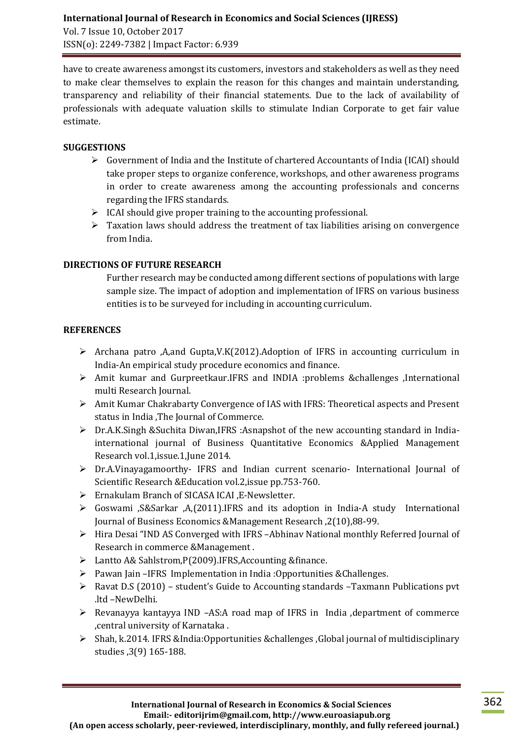have to create awareness amongst its customers, investors and stakeholders as well as they need to make clear themselves to explain the reason for this changes and maintain understanding, transparency and reliability of their financial statements. Due to the lack of availability of professionals with adequate valuation skills to stimulate Indian Corporate to get fair value estimate.

### **SUGGESTIONS**

- $\triangleright$  Government of India and the Institute of chartered Accountants of India (ICAI) should take proper steps to organize conference, workshops, and other awareness programs in order to create awareness among the accounting professionals and concerns regarding the IFRS standards.
- $\triangleright$  ICAI should give proper training to the accounting professional.
- $\triangleright$  Taxation laws should address the treatment of tax liabilities arising on convergence from India.

### **DIRECTIONS OF FUTURE RESEARCH**

Further research may be conducted among different sections of populations with large sample size. The impact of adoption and implementation of IFRS on various business entities is to be surveyed for including in accounting curriculum.

### **REFERENCES**

- $\triangleright$  Archana patro ,A,and Gupta,V.K(2012).Adoption of IFRS in accounting curriculum in India-An empirical study procedure economics and finance.
- Amit kumar and Gurpreetkaur.IFRS and INDIA :problems &challenges ,International multi Research Journal.
- $\triangleright$  Amit Kumar Chakrabarty Convergence of IAS with IFRS: Theoretical aspects and Present status in India ,The Journal of Commerce.
- $\triangleright$  Dr.A.K.Singh &Suchita Diwan, IFRS: Asnapshot of the new accounting standard in Indiainternational journal of Business Quantitative Economics &Applied Management Research vol.1,issue.1,June 2014.
- Dr.A.Vinayagamoorthy- IFRS and Indian current scenario- International Journal of Scientific Research &Education vol.2,issue pp.753-760.
- Ernakulam Branch of SICASA ICAI ,E-Newsletter.
- $\triangleright$  Goswami , S&Sarkar , A, (2011).IFRS and its adoption in India-A study International Journal of Business Economics &Management Research ,2(10),88-99.
- Hira Desai "IND AS Converged with IFRS –Abhinav National monthly Referred Journal of Research in commerce &Management .
- Lantto A& Sahlstrom,P(2009).IFRS,Accounting &finance.
- Pawan Jain –IFRS Implementation in India :Opportunities &Challenges.
- Ravat D.S (2010) student's Guide to Accounting standards –Taxmann Publications pvt .ltd –NewDelhi.
- $\triangleright$  Revanayya kantayya IND –AS:A road map of IFRS in India , department of commerce ,central university of Karnataka .
- Shah, k.2014. IFRS &India:Opportunities &challenges ,Global journal of multidisciplinary studies ,3(9) 165-188.